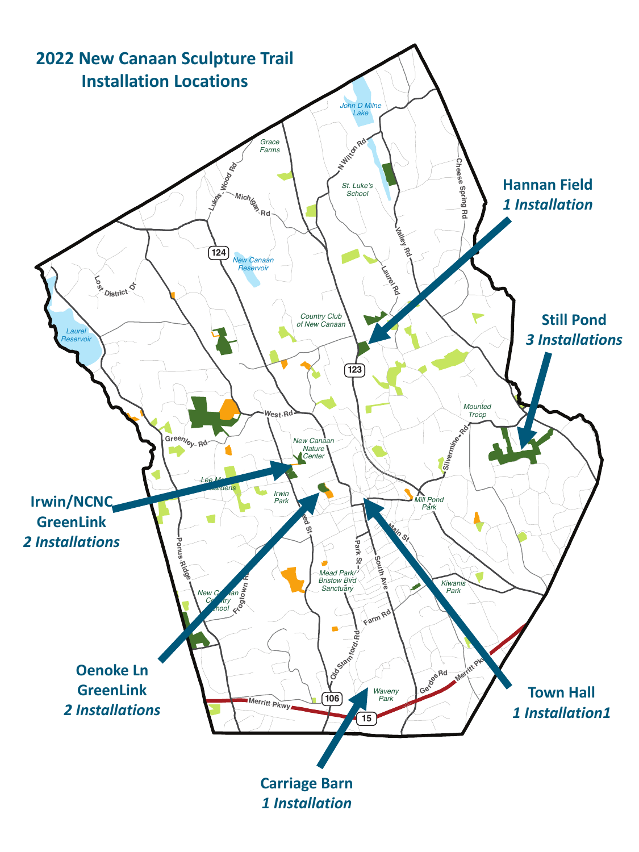